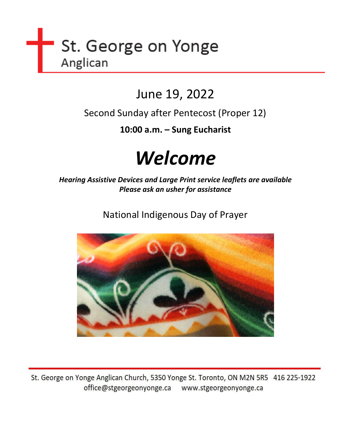

# June 19, 2022

Second Sunday after Pentecost (Proper 12)

**10:00 a.m. – Sung Eucharist**

# *Welcome*

*Hearing Assistive Devices and Large Print service leaflets are available Please ask an usher for assistance*

National Indigenous Day of Prayer



St. George on Yonge Anglican Church, 5350 Yonge St. Toronto, ON M2N 5R5 416 225-1922 office@stgeorgeonyonge.ca www.stgeorgeonyonge.ca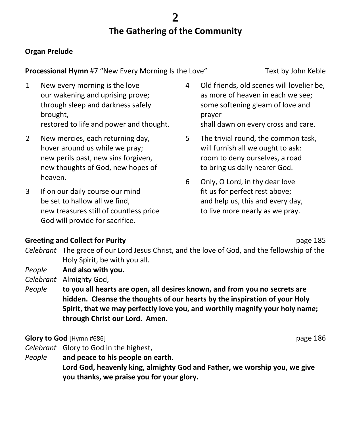# **The Gathering of the Community**

# **Organ Prelude**

**Processional Hymn** #7 "New Every Morning Is the Love" Text by John Keble

- 1 New every morning is the love our wakening and uprising prove; through sleep and darkness safely brought, restored to life and power and thought.
- 2 New mercies, each returning day, hover around us while we pray; new perils past, new sins forgiven, new thoughts of God, new hopes of heaven.
- 3 If on our daily course our mind be set to hallow all we find, new treasures still of countless price God will provide for sacrifice.
- 4 Old friends, old scenes will lovelier be, as more of heaven in each we see; some softening gleam of love and prayer shall dawn on every cross and care.
- 5 The trivial round, the common task, will furnish all we ought to ask: room to deny ourselves, a road to bring us daily nearer God.
- 6 Only, O Lord, in thy dear love fit us for perfect rest above; and help us, this and every day, to live more nearly as we pray.

# **Greeting and Collect for Purity and Collect for Purity and Collect for Purity According to According the Collect of Purity According to According the Purity According to According the Purity According to According the Pur**

- *Celebrant* The grace of our Lord Jesus Christ, and the love of God, and the fellowship of the Holy Spirit, be with you all.
- *People* **And also with you.**

*Celebrant* Almighty God,

*People* **to you all hearts are open, all desires known, and from you no secrets are hidden. Cleanse the thoughts of our hearts by the inspiration of your Holy Spirit, that we may perfectly love you, and worthily magnify your holy name; through Christ our Lord. Amen.**

# **Glory to God** [Hymn #686] **page 186 page 186**

- *Celebrant* Glory to God in the highest,
- *People* **and peace to his people on earth. Lord God, heavenly king, almighty God and Father, we worship you, we give you thanks, we praise you for your glory.**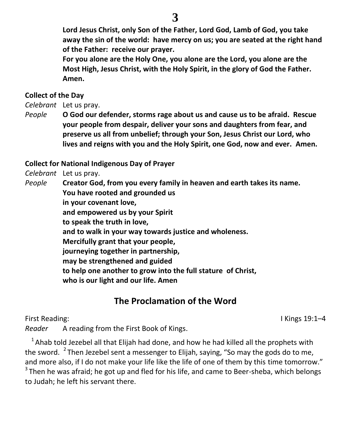**Lord Jesus Christ, only Son of the Father, Lord God, Lamb of God, you take away the sin of the world: have mercy on us; you are seated at the right hand of the Father: receive our prayer.**

**For you alone are the Holy One, you alone are the Lord, you alone are the Most High, Jesus Christ, with the Holy Spirit, in the glory of God the Father. Amen.**

# **Collect of the Day**

*Celebrant* Let us pray.

*People* **O God our defender, storms rage about us and cause us to be afraid. Rescue your people from despair, deliver your sons and daughters from fear, and preserve us all from unbelief; through your Son, Jesus Christ our Lord, who lives and reigns with you and the Holy Spirit, one God, now and ever. Amen.**

# **Collect for National Indigenous Day of Prayer**

*Celebrant* Let us pray.

*People* **Creator God, from you every family in heaven and earth takes its name. You have rooted and grounded us in your covenant love, and empowered us by your Spirit to speak the truth in love, and to walk in your way towards justice and wholeness. Mercifully grant that your people, journeying together in partnership, may be strengthened and guided to help one another to grow into the full stature of Christ, who is our light and our life. Amen**

# **The Proclamation of the Word**

First Reading: I Kings 19:1–4

*Reader* A reading from the First Book of Kings.

 $1$ Ahab told Jezebel all that Elijah had done, and how he had killed all the prophets with the sword.  $^{2}$  Then Jezebel sent a messenger to Elijah, saying, "So may the gods do to me, and more also, if I do not make your life like the life of one of them by this time tomorrow."

 $3$ Then he was afraid; he got up and fled for his life, and came to Beer-sheba, which belongs to Judah; he left his servant there.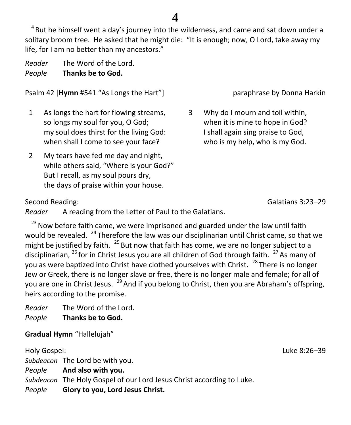$4$ But he himself went a day's journey into the wilderness, and came and sat down under a solitary broom tree. He asked that he might die: "It is enough; now, O Lord, take away my life, for I am no better than my ancestors."

*Reader* The Word of the Lord. *People* **Thanks be to God.**

Psalm 42 [**Hymn** #541 "As Longs the Hart"] paraphrase by Donna Harkin

- 1 As longs the hart for flowing streams, so longs my soul for you, O God; my soul does thirst for the living God: when shall I come to see your face?
- 2 My tears have fed me day and night, while others said, "Where is your God?" But I recall, as my soul pours dry, the days of praise within your house.

3 Why do I mourn and toil within, when it is mine to hope in God? I shall again sing praise to God, who is my help, who is my God.

Second Reading: Galatians 3:23–29

*Reader* A reading from the Letter of Paul to the Galatians.

 $23$  Now before faith came, we were imprisoned and guarded under the law until faith would be revealed.  $24$  Therefore the law was our disciplinarian until Christ came, so that we might be justified by faith.  $^{25}$  But now that faith has come, we are no longer subject to a disciplinarian,  $^{26}$  for in Christ Jesus you are all children of God through faith.  $^{27}$  As many of you as were baptized into Christ have clothed yourselves with Christ.  $^{28}$  There is no longer Jew or Greek, there is no longer slave or free, there is no longer male and female; for all of you are one in Christ Jesus.  $^{29}$  And if you belong to Christ, then you are Abraham's offspring, heirs according to the promise.

*Reader* The Word of the Lord. *People* **Thanks be to God.**

**Gradual Hymn** "Hallelujah"

Holy Gospel: Luke 8:26–39 *Subdeacon* The Lord be with you. *People* **And also with you.** *Subdeacon* The Holy Gospel of our Lord Jesus Christ according to Luke. *People* **Glory to you, Lord Jesus Christ.**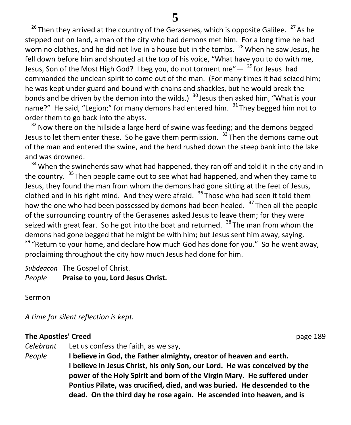$26$  Then they arrived at the country of the Gerasenes, which is opposite Galilee.  $27$  As he stepped out on land, a man of the city who had demons met him. For a long time he had worn no clothes, and he did not live in a house but in the tombs.  $^{28}$  When he saw Jesus, he fell down before him and shouted at the top of his voice, "What have you to do with me, Jesus, Son of the Most High God? I beg you, do not torment me" $^{29}$  for Jesus had commanded the unclean spirit to come out of the man. (For many times it had seized him; he was kept under guard and bound with chains and shackles, but he would break the bonds and be driven by the demon into the wilds.)  $30$  Jesus then asked him, "What is your name?" He said, "Legion;" for many demons had entered him.  $31$  They begged him not to order them to go back into the abyss.

 $32$  Now there on the hillside a large herd of swine was feeding; and the demons begged Jesus to let them enter these. So he gave them permission.  $33$  Then the demons came out of the man and entered the swine, and the herd rushed down the steep bank into the lake and was drowned.

 $34$  When the swineherds saw what had happened, they ran off and told it in the city and in the country. <sup>35</sup>Then people came out to see what had happened, and when they came to Jesus, they found the man from whom the demons had gone sitting at the feet of Jesus, clothed and in his right mind. And they were afraid.  $36$  Those who had seen it told them how the one who had been possessed by demons had been healed.  $37$  Then all the people of the surrounding country of the Gerasenes asked Jesus to leave them; for they were seized with great fear. So he got into the boat and returned.  $38$  The man from whom the demons had gone begged that he might be with him; but Jesus sent him away, saying,  $39$  "Return to your home, and declare how much God has done for you." So he went away, proclaiming throughout the city how much Jesus had done for him.

*Subdeacon* The Gospel of Christ.

*People* **Praise to you, Lord Jesus Christ.**

Sermon

*A time for silent reflection is kept.*

## **The Apostles' Creed page 189**

*Celebrant* Let us confess the faith, as we say, *People* **I believe in God, the Father almighty, creator of heaven and earth. I believe in Jesus Christ, his only Son, our Lord. He was conceived by the power of the Holy Spirit and born of the Virgin Mary. He suffered under Pontius Pilate, was crucified, died, and was buried. He descended to the dead. On the third day he rose again. He ascended into heaven, and is**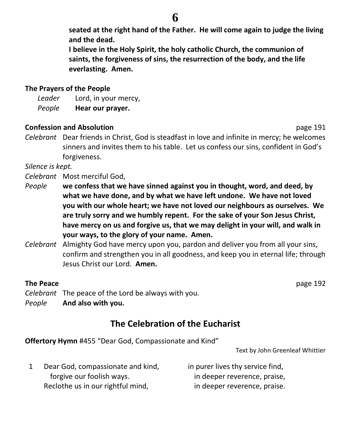**seated at the right hand of the Father. He will come again to judge the living and the dead.**

**I believe in the Holy Spirit, the holy catholic Church, the communion of saints, the forgiveness of sins, the resurrection of the body, and the life everlasting. Amen.**

## **The Prayers of the People**

*Leader* Lord, in your mercy, *People* **Hear our prayer.**

## **Confession and Absolution page 191**

*Celebrant* Dear friends in Christ, God is steadfast in love and infinite in mercy; he welcomes sinners and invites them to his table. Let us confess our sins, confident in God's forgiveness.

*Silence is kept.*

- *Celebrant* Most merciful God,
- *People* **we confess that we have sinned against you in thought, word, and deed, by what we have done, and by what we have left undone. We have not loved you with our whole heart; we have not loved our neighbours as ourselves. We are truly sorry and we humbly repent. For the sake of your Son Jesus Christ, have mercy on us and forgive us, that we may delight in your will, and walk in your ways, to the glory of your name. Amen.**
- *Celebrant* Almighty God have mercy upon you, pardon and deliver you from all your sins, confirm and strengthen you in all goodness, and keep you in eternal life; through Jesus Christ our Lord. **Amen.**

# **The Peace** page 192

*Celebrant* The peace of the Lord be always with you.

*People* **And also with you.**

# **The Celebration of the Eucharist**

**Offertory Hymn** #455 "Dear God, Compassionate and Kind"

Text by John Greenleaf Whittier

1 Dear God, compassionate and kind, forgive our foolish ways. Reclothe us in our rightful mind, in purer lives thy service find, in deeper reverence, praise, in deeper reverence, praise.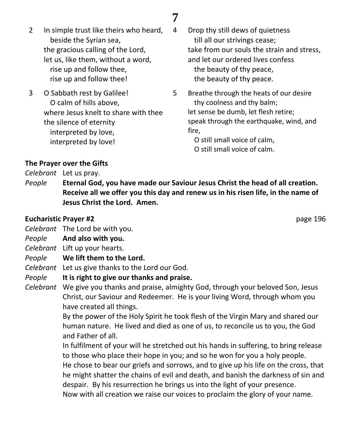- 2 In simple trust like theirs who heard, beside the Syrian sea, the gracious calling of the Lord, let us, like them, without a word, rise up and follow thee, rise up and follow thee!
- 3 O Sabbath rest by Galilee! O calm of hills above, where Jesus knelt to share with thee the silence of eternity interpreted by love, interpreted by love!
- 4 Drop thy still dews of quietness till all our strivings cease; take from our souls the strain and stress, and let our ordered lives confess the beauty of thy peace, the beauty of thy peace.
- 5 Breathe through the heats of our desire thy coolness and thy balm; let sense be dumb, let flesh retire; speak through the earthquake, wind, and fire,

O still small voice of calm, O still small voice of calm.

**The Prayer over the Gifts**

*Celebrant* Let us pray.

*People* **Eternal God, you have made our Saviour Jesus Christ the head of all creation. Receive all we offer you this day and renew us in his risen life, in the name of Jesus Christ the Lord. Amen.**

## **Eucharistic Prayer #2** page 196

- *Celebrant* The Lord be with you.
- *People* **And also with you.**
- *Celebrant* Lift up your hearts.
- *People* **We lift them to the Lord.**
- *Celebrant* Let us give thanks to the Lord our God.
- *People* **It is right to give our thanks and praise.**
- *Celebrant* We give you thanks and praise, almighty God, through your beloved Son, Jesus Christ, our Saviour and Redeemer. He is your living Word, through whom you have created all things.

By the power of the Holy Spirit he took flesh of the Virgin Mary and shared our human nature. He lived and died as one of us, to reconcile us to you, the God and Father of all.

In fulfilment of your will he stretched out his hands in suffering, to bring release to those who place their hope in you; and so he won for you a holy people. He chose to bear our griefs and sorrows, and to give up his life on the cross, that he might shatter the chains of evil and death, and banish the darkness of sin and despair. By his resurrection he brings us into the light of your presence.

Now with all creation we raise our voices to proclaim the glory of your name.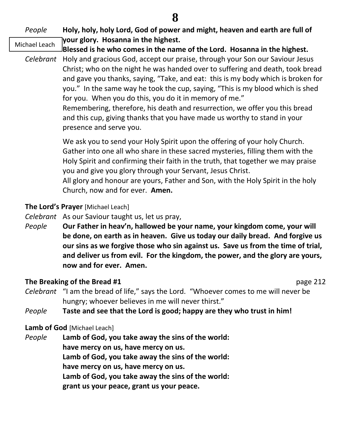#### *People* **Holy, holy, holy Lord, God of power and might, heaven and earth are full of your glory. Hosanna in the highest.** Michael Leach

- **Blessed is he who comes in the name of the Lord. Hosanna in the highest.**
	- *Celebrant* Holy and gracious God, accept our praise, through your Son our Saviour Jesus Christ; who on the night he was handed over to suffering and death, took bread and gave you thanks, saying, "Take, and eat: this is my body which is broken for you." In the same way he took the cup, saying, "This is my blood which is shed for you. When you do this, you do it in memory of me." Remembering, therefore, his death and resurrection, we offer you this bread and this cup, giving thanks that you have made us worthy to stand in your presence and serve you.

We ask you to send your Holy Spirit upon the offering of your holy Church. Gather into one all who share in these sacred mysteries, filling them with the Holy Spirit and confirming their faith in the truth, that together we may praise you and give you glory through your Servant, Jesus Christ. All glory and honour are yours, Father and Son, with the Holy Spirit in the holy

Church, now and for ever. **Amen.**

# **The Lord's Prayer** [Michael Leach]

- *Celebrant* As our Saviour taught us, let us pray,
- *People* **Our Father in heav'n, hallowed be your name, your kingdom come, your will be done, on earth as in heaven. Give us today our daily bread. And forgive us our sins as we forgive those who sin against us. Save us from the time of trial, and deliver us from evil. For the kingdom, the power, and the glory are yours, now and for ever. Amen.**

# **The Breaking of the Bread #1** page 212

*Celebrant* "I am the bread of life," says the Lord. "Whoever comes to me will never be hungry; whoever believes in me will never thirst."

# *People* **Taste and see that the Lord is good; happy are they who trust in him!**

# **Lamb of God** [Michael Leach]

*People* **Lamb of God, you take away the sins of the world: have mercy on us, have mercy on us. Lamb of God, you take away the sins of the world: have mercy on us, have mercy on us. Lamb of God, you take away the sins of the world: grant us your peace, grant us your peace.**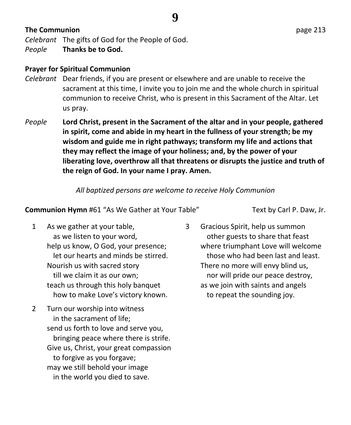# **The Communion** page 213

*Celebrant* The gifts of God for the People of God.

*People* **Thanks be to God.**

# **Prayer for Spiritual Communion**

- *Celebrant* Dear friends, if you are present or elsewhere and are unable to receive the sacrament at this time, I invite you to join me and the whole church in spiritual communion to receive Christ, who is present in this Sacrament of the Altar. Let us pray.
- *People* **Lord Christ, present in the Sacrament of the altar and in your people, gathered in spirit, come and abide in my heart in the fullness of your strength; be my wisdom and guide me in right pathways; transform my life and actions that they may reflect the image of your holiness; and, by the power of your liberating love, overthrow all that threatens or disrupts the justice and truth of the reign of God. In your name I pray. Amen.**

*All baptized persons are welcome to receive Holy Communion* 

# **Communion Hymn** #61 "As We Gather at Your Table" Text by Carl P. Daw, Jr.

- 1 As we gather at your table, as we listen to your word, help us know, O God, your presence; let our hearts and minds be stirred. Nourish us with sacred story till we claim it as our own; teach us through this holy banquet how to make Love's victory known.
- 2 Turn our worship into witness in the sacrament of life; send us forth to love and serve you, bringing peace where there is strife. Give us, Christ, your great compassion to forgive as you forgave; may we still behold your image in the world you died to save.
- 3 Gracious Spirit, help us summon other guests to share that feast where triumphant Love will welcome those who had been last and least. There no more will envy blind us, nor will pride our peace destroy, as we join with saints and angels to repeat the sounding joy.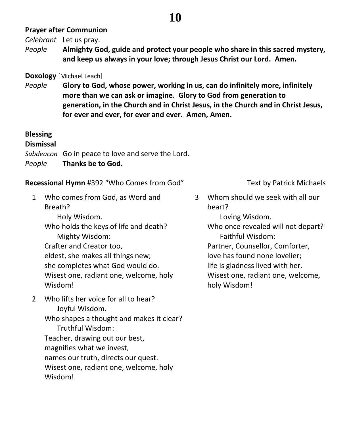# **Prayer after Communion**

*Celebrant* Let us pray.

*People* **Almighty God, guide and protect your people who share in this sacred mystery, and keep us always in your love; through Jesus Christ our Lord. Amen.**

# **Doxology** [Michael Leach]

*People* **Glory to God, whose power, working in us, can do infinitely more, infinitely more than we can ask or imagine. Glory to God from generation to generation, in the Church and in Christ Jesus, in the Church and in Christ Jesus, for ever and ever, for ever and ever. Amen, Amen.**

# **Blessing**

### **Dismissal**

*Subdeacon* Go in peace to love and serve the Lord.

*People* **Thanks be to God.**

**Recessional Hymn** #392 "Who Comes from God" Text by Patrick Michaels

1 Who comes from God, as Word and Breath?

Holy Wisdom.

Who holds the keys of life and death? Mighty Wisdom:

Crafter and Creator too, eldest, she makes all things new; she completes what God would do. Wisest one, radiant one, welcome, holy Wisdom!

2 Who lifts her voice for all to hear? Joyful Wisdom.

Who shapes a thought and makes it clear? Truthful Wisdom: Teacher, drawing out our best, magnifies what we invest, names our truth, directs our quest. Wisest one, radiant one, welcome, holy Wisdom!

3 Whom should we seek with all our heart?

Loving Wisdom.

Who once revealed will not depart? Faithful Wisdom:

Partner, Counsellor, Comforter,

love has found none lovelier;

life is gladness lived with her.

Wisest one, radiant one, welcome, holy Wisdom!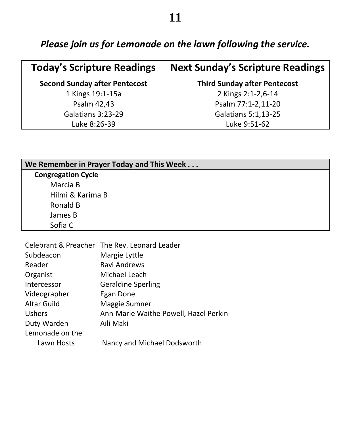*Please join us for Lemonade on the lawn following the service.*

| <b>Today's Scripture Readings</b>    | <b>Next Sunday's Scripture Readings</b> |
|--------------------------------------|-----------------------------------------|
| <b>Second Sunday after Pentecost</b> | <b>Third Sunday after Pentecost</b>     |
| 1 Kings 19:1-15a                     | 2 Kings 2:1-2,6-14                      |
| Psalm 42,43                          | Psalm 77:1-2,11-20                      |
| Galatians 3:23-29                    | <b>Galatians 5:1,13-25</b>              |
| Luke 8:26-39                         | Luke 9:51-62                            |

| We Remember in Prayer Today and This Week |  |
|-------------------------------------------|--|
| <b>Congregation Cycle</b>                 |  |
| Marcia B                                  |  |
| Hilmi & Karima B                          |  |
| Ronald B                                  |  |
| James B                                   |  |
| Sofia C                                   |  |

| Celebrant & Preacher The Rev. Leonard Leader |
|----------------------------------------------|
| Margie Lyttle                                |
| Ravi Andrews                                 |
| Michael Leach                                |
| <b>Geraldine Sperling</b>                    |
| Egan Done                                    |
| Maggie Sumner                                |
| Ann-Marie Waithe Powell, Hazel Perkin        |
| Aili Maki                                    |
|                                              |
| Nancy and Michael Dodsworth                  |
|                                              |